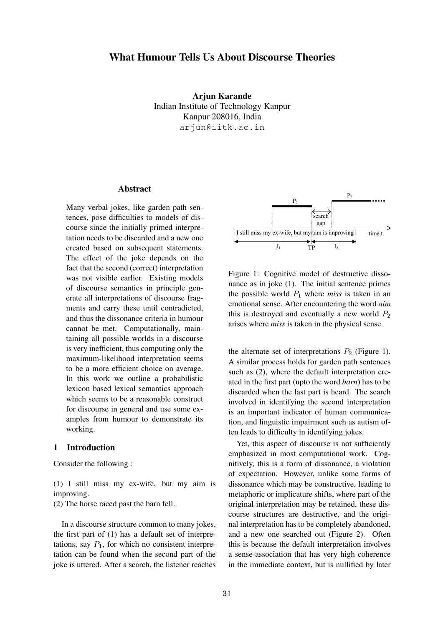# **What Humour Tells Us About Discourse Theories**

**Arjun Karande** Indian Institute of Technology Kanpur Kanpur 208016, India arjun@iitk.ac.in

#### **Abstract**

Many verbal jokes, like garden path sentences, pose difficulties to models of discourse since the initially primed interpretation needs to be discarded and a new one created based on subsequent statements. The effect of the joke depends on the fact that the second (correct) interpretation was not visible earlier. Existing models of discourse semantics in principle generate all interpretations of discourse fragments and carry these until contradicted, and thus the dissonance criteria in humour cannot be met. Computationally, maintaining all possible worlds in a discourse is very inefficient, thus computing only the maximum-likelihood interpretation seems to be a more efficient choice on average. In this work we outline a probabilistic lexicon based lexical semantics approach which seems to be a reasonable construct for discourse in general and use some examples from humour to demonstrate its working.

# **1 Introduction**

Consider the following :

(1) I still miss my ex-wife, but my aim is improving.

(2) The horse raced past the barn fell.

In a discourse structure common to many jokes, the first part of (1) has a default set of interpretations, say  $P_1$ , for which no consistent interpretation can be found when the second part of the joke is uttered. After a search, the listener reaches



Figure 1: Cognitive model of destructive dissonance as in joke (1). The initial sentence primes the possible world  $P_1$  where *miss* is taken in an emotional sense. After encountering the word *aim* this is destroyed and eventually a new world  $P_2$ arises where *miss* is taken in the physical sense.

the alternate set of interpretations  $P_2$  (Figure 1). A similar process holds for garden path sentences such as (2), where the default interpretation created in the first part (upto the word *barn*) has to be discarded when the last part is heard. The search involved in identifying the second interpretation is an important indicator of human communication, and linguistic impairment such as autism often leads to difficulty in identifying jokes.

Yet, this aspect of discourse is not sufficiently emphasized in most computational work. Cognitively, this is a form of dissonance, a violation of expectation. However, unlike some forms of dissonance which may be constructive, leading to metaphoric or implicature shifts, where part of the original interpretation may be retained, these discourse structures are destructive, and the original interpretation has to be completely abandoned, and a new one searched out (Figure 2). Often this is because the default interpretation involves a sense-association that has very high coherence in the immediate context, but is nullified by later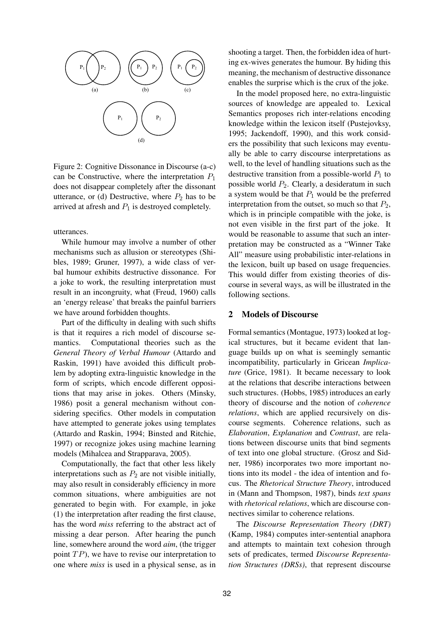

Figure 2: Cognitive Dissonance in Discourse (a-c) can be Constructive, where the interpretation  $P_1$ does not disappear completely after the dissonant utterance, or (d) Destructive, where  $P_2$  has to be arrived at afresh and  $P_1$  is destroyed completely.

utterances.

While humour may involve a number of other mechanisms such as allusion or stereotypes (Shibles, 1989; Gruner, 1997), a wide class of verbal humour exhibits destructive dissonance. For a joke to work, the resulting interpretation must result in an incongruity, what (Freud, 1960) calls an 'energy release' that breaks the painful barriers we have around forbidden thoughts.

Part of the difficulty in dealing with such shifts is that it requires a rich model of discourse semantics. Computational theories such as the *General Theory of Verbal Humour* (Attardo and Raskin, 1991) have avoided this difficult problem by adopting extra-linguistic knowledge in the form of scripts, which encode different oppositions that may arise in jokes. Others (Minsky, 1986) posit a general mechanism without considering specifics. Other models in computation have attempted to generate jokes using templates (Attardo and Raskin, 1994; Binsted and Ritchie, 1997) or recognize jokes using machine learning models (Mihalcea and Strapparava, 2005).

Computationally, the fact that other less likely interpretations such as  $P_2$  are not visible initially, may also result in considerably efficiency in more common situations, where ambiguities are not generated to begin with. For example, in joke (1) the interpretation after reading the first clause, has the word *miss* referring to the abstract act of missing a dear person. After hearing the punch line, somewhere around the word *aim*, (the trigger point  $TP$ ), we have to revise our interpretation to one where *miss* is used in a physical sense, as in

shooting a target. Then, the forbidden idea of hurting ex-wives generates the humour. By hiding this meaning, the mechanism of destructive dissonance enables the surprise which is the crux of the joke.

In the model proposed here, no extra-linguistic sources of knowledge are appealed to. Lexical Semantics proposes rich inter-relations encoding knowledge within the lexicon itself (Pustejovksy, 1995; Jackendoff, 1990), and this work considers the possibility that such lexicons may eventually be able to carry discourse interpretations as well, to the level of handling situations such as the destructive transition from a possible-world  $P_1$  to possible world  $P_2$ . Clearly, a desideratum in such a system would be that  $P_1$  would be the preferred interpretation from the outset, so much so that  $P_2$ , which is in principle compatible with the joke, is not even visible in the first part of the joke. It would be reasonable to assume that such an interpretation may be constructed as a "Winner Take All" measure using probabilistic inter-relations in the lexicon, built up based on usage frequencies. This would differ from existing theories of discourse in several ways, as will be illustrated in the following sections.

### **2 Models of Discourse**

Formal semantics (Montague, 1973) looked at logical structures, but it became evident that language builds up on what is seemingly semantic incompatibility, particularly in Gricean *Implicature* (Grice, 1981). It became necessary to look at the relations that describe interactions between such structures. (Hobbs, 1985) introduces an early theory of discourse and the notion of *coherence relations*, which are applied recursively on discourse segments. Coherence relations, such as *Elaboration*, *Explanation* and *Contrast*, are relations between discourse units that bind segments of text into one global structure. (Grosz and Sidner, 1986) incorporates two more important notions into its model - the idea of intention and focus. The *Rhetorical Structure Theory*, introduced in (Mann and Thompson, 1987), binds *text spans* with *rhetorical relations*, which are discourse connectives similar to coherence relations.

The *Discourse Representation Theory (DRT)* (Kamp, 1984) computes inter-sentential anaphora and attempts to maintain text cohesion through sets of predicates, termed *Discourse Representation Structures (DRSs)*, that represent discourse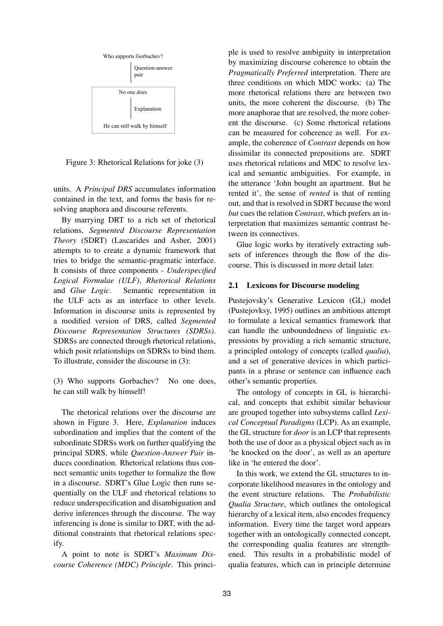

Figure 3: Rhetorical Relations for joke (3)

units. A *Principal DRS* accumulates information contained in the text, and forms the basis for resolving anaphora and discourse referents.

By marrying DRT to a rich set of rhetorical relations, *Segmented Discourse Representation Theory* (SDRT) (Lascarides and Asher, 2001) attempts to to create a dynamic framework that tries to bridge the semantic-pragmatic interface. It consists of three components - *Underspecified Logical Formulae (ULF)*, *Rhetorical Relations* and *Glue Logic*. Semantic representation in the ULF acts as an interface to other levels. Information in discourse units is represented by a modified version of DRS, called *Segmented Discourse Representation Structures (SDRSs)*. SDRSs are connected through rhetorical relations, which posit relationships on SDRSs to bind them. To illustrate, consider the discourse in (3):

(3) Who supports Gorbachev? No one does, he can still walk by himself!

The rhetorical relations over the discourse are shown in Figure 3. Here, *Explanation* induces subordination and implies that the content of the subordinate SDRSs work on further qualifying the principal SDRS, while *Question-Answer Pair* induces coordination. Rhetorical relations thus connect semantic units together to formalize the flow in a discourse. SDRT's Glue Logic then runs sequentially on the ULF and rhetorical relations to reduce underspecification and disambiguation and derive inferences through the discourse. The way inferencing is done is similar to DRT, with the additional constraints that rhetorical relations specify.

A point to note is SDRT's *Maximum Discourse Coherence (MDC) Principle*. This principle is used to resolve ambiguity in interpretation by maximizing discourse coherence to obtain the *Pragmatically Preferred* interpretation. There are three conditions on which MDC works: (a) The more rhetorical relations there are between two units, the more coherent the discourse. (b) The more anaphorae that are resolved, the more coherent the discourse. (c) Some rhetorical relations can be measured for coherence as well. For example, the coherence of *Contrast* depends on how dissimilar its connected prepositions are. SDRT uses rhetorical relations and MDC to resolve lexical and semantic ambiguities. For example, in the utterance 'John bought an apartment. But he rented it', the sense of *rented* is that of renting out, and that is resolved in SDRT because the word *but* cues the relation *Contrast*, which prefers an interpretation that maximizes semantic contrast between its connectives.

Glue logic works by iteratively extracting subsets of inferences through the flow of the discourse. This is discussed in more detail later.

#### **2.1 Lexicons for Discourse modeling**

Pustejovsky's Generative Lexicon (GL) model (Pustejovksy, 1995) outlines an ambitious attempt to formulate a lexical semantics framework that can handle the unboundedness of linguistic expressions by providing a rich semantic structure, a principled ontology of concepts (called *qualia*), and a set of generative devices in which participants in a phrase or sentence can influence each other's semantic properties.

The ontology of concepts in GL is hierarchical, and concepts that exhibit similar behaviour are grouped together into subsystems called *Lexical Conceptual Paradigms* (LCP). As an example, the GL structure for *door* is an LCP that represents both the use of door as a physical object such as in 'he knocked on the door', as well as an aperture like in 'he entered the door'.

In this work, we extend the GL structures to incorporate likelihood measures in the ontology and the event structure relations. The *Probabilistic Qualia Structure*, which outlines the ontological hierarchy of a lexical item, also encodes frequency information. Every time the target word appears together with an ontologically connected concept, the corresponding qualia features are strengthened. This results in a probabilistic model of qualia features, which can in principle determine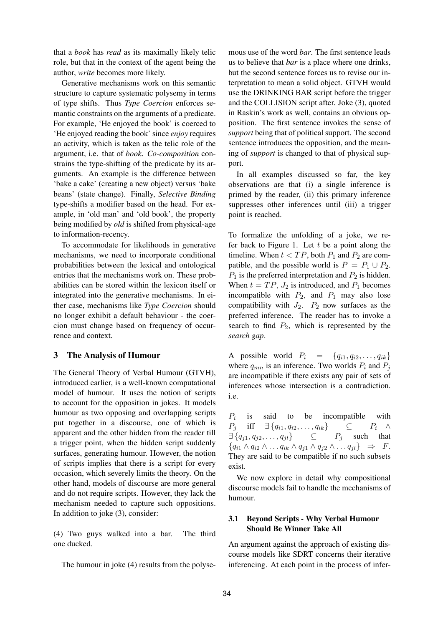that a *book* has *read* as its maximally likely telic role, but that in the context of the agent being the author, *write* becomes more likely.

Generative mechanisms work on this semantic structure to capture systematic polysemy in terms of type shifts. Thus *Type Coercion* enforces semantic constraints on the arguments of a predicate. For example, 'He enjoyed the book' is coerced to 'He enjoyed reading the book' since *enjoy* requires an activity, which is taken as the telic role of the argument, i.e. that of *book*. *Co-composition* constrains the type-shifting of the predicate by its arguments. An example is the difference between 'bake a cake' (creating a new object) versus 'bake beans' (state change). Finally, *Selective Binding* type-shifts a modifier based on the head. For example, in 'old man' and 'old book', the property being modified by *old* is shifted from physical-age to information-recency.

To accommodate for likelihoods in generative mechanisms, we need to incorporate conditional probabilities between the lexical and ontological entries that the mechanisms work on. These probabilities can be stored within the lexicon itself or integrated into the generative mechanisms. In either case, mechanisms like *Type Coercion* should no longer exhibit a default behaviour - the coercion must change based on frequency of occurrence and context.

# **3 The Analysis of Humour**

The General Theory of Verbal Humour (GTVH), introduced earlier, is a well-known computational model of humour. It uses the notion of scripts to account for the opposition in jokes. It models humour as two opposing and overlapping scripts put together in a discourse, one of which is apparent and the other hidden from the reader till a trigger point, when the hidden script suddenly surfaces, generating humour. However, the notion of scripts implies that there is a script for every occasion, which severely limits the theory. On the other hand, models of discourse are more general and do not require scripts. However, they lack the mechanism needed to capture such oppositions. In addition to joke (3), consider:

(4) Two guys walked into a bar. The third one ducked.

The humour in joke (4) results from the polyse-

mous use of the word *bar*. The first sentence leads us to believe that *bar* is a place where one drinks, but the second sentence forces us to revise our interpretation to mean a solid object. GTVH would use the DRINKING BAR script before the trigger and the COLLISION script after. Joke (3), quoted in Raskin's work as well, contains an obvious opposition. The first sentence invokes the sense of *support* being that of political support. The second sentence introduces the opposition, and the meaning of *support* is changed to that of physical support.

In all examples discussed so far, the key observations are that (i) a single inference is primed by the reader, (ii) this primary inference suppresses other inferences until (iii) a trigger point is reached.

To formalize the unfolding of a joke, we refer back to Figure 1. Let  $t$  be a point along the timeline. When  $t < TP$ , both  $P_1$  and  $P_2$  are compatible, and the possible world is  $P = P_1 \cup P_2$ .  $P_1$  is the preferred interpretation and  $P_2$  is hidden. When  $t = TP$ ,  $J_2$  is introduced, and  $P_1$  becomes incompatible with  $P_2$ , and  $P_1$  may also lose compatibility with  $J_2$ .  $P_2$  now surfaces as the preferred inference. The reader has to invoke a search to find  $P_2$ , which is represented by the *search gap*.

A possible world  $P_i = \{q_{i1}, q_{i2}, \ldots, q_{ik}\}\$ where  $q_{mn}$  is an inference. Two worlds  $P_i$  and  $P_j$ are incompatible if there exists any pair of sets of inferences whose intersection is a contradiction. i.e.

 $P_i$ is said to be incompatible with  $P_i$  iff  $\exists \{q_{i1}, q_{i2}, \ldots, q_{ik}\}$   $\subseteq$   $P_i \wedge$  $\exists \{q_{i1}, q_{i2}, \ldots, q_{il}\}$   $\subseteq$   $P_i$  such that  ${q_{i1} \wedge q_{i2} \wedge \ldots q_{ik} \wedge q_{j1} \wedge q_{j2} \wedge \ldots q_{jl}} \Rightarrow F.$ They are said to be compatible if no such subsets exist.

We now explore in detail why compositional discourse models fail to handle the mechanisms of humour.

# **3.1 Beyond Scripts - Why Verbal Humour Should Be Winner Take All**

An argument against the approach of existing discourse models like SDRT concerns their iterative inferencing. At each point in the process of infer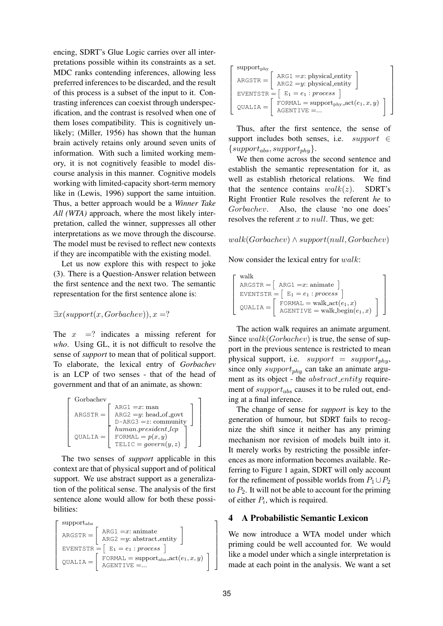encing, SDRT's Glue Logic carries over all interpretations possible within its constraints as a set. MDC ranks contending inferences, allowing less preferred inferences to be discarded, and the result of this process is a subset of the input to it. Contrasting inferences can coexist through underspecification, and the contrast is resolved when one of them loses compatibility. This is cognitively unlikely; (Miller, 1956) has shown that the human brain actively retains only around seven units of information. With such a limited working memory, it is not cognitively feasible to model discourse analysis in this manner. Cognitive models working with limited-capacity short-term memory like in (Lewis, 1996) support the same intuition. Thus, a better approach would be a *Winner Take All (WTA)* approach, where the most likely interpretation, called the winner, suppresses all other interpretations as we move through the discourse. The model must be revised to reflect new contexts if they are incompatible with the existing model.

Let us now explore this with respect to joke (3). There is a Question-Answer relation between the first sentence and the next two. The semantic representation for the first sentence alone is:

$$
\exists x (support(x, Grobachev)), x =?
$$

The  $x =$ ? indicates a missing referent for *who*. Using GL, it is not difficult to resolve the sense of *support* to mean that of political support. To elaborate, the lexical entry of *Gorbachev* is an LCP of two senses - that of the head of government and that of an animate, as shown:

| Gorbachev  |                           |
|------------|---------------------------|
|            | $ARG1 = x: man$           |
| $ARGSTR =$ | $ARG2 = y$ : head of govt |
|            | $D-ARS3 = z: community$   |
| $OUALIA =$ | $human. president\_lcp$   |
|            | FORMAL = $p(x, y)$        |
|            | TELIC = $qovern(y, z)$    |

The two senses of *support* applicable in this context are that of physical support and of political support. We use abstract support as a generalization of the political sense. The analysis of the first sentence alone would allow for both these possibilities:

$$
\begin{bmatrix} \text{support}_{\text{abs}} \\ \text{ARGSTR} = \left[ \begin{array}{l} \text{ARG1} = x \text{: animate} \\ \text{ARG2} = y \text{: abstract entity} \end{array} \right] \\ \text{EVENTSTR} = \left[ \begin{array}{l} \text{E}_1 = e_1 \text{ : process} \\ \text{FORMAL} = \text{support}_{\text{abs}}.\text{act}(e_1, x, y) \\ \text{AGENTIVE} = \dots \end{array} \right] \end{bmatrix}
$$

| $support_{\text{phy}}$                                                                 |  |
|----------------------------------------------------------------------------------------|--|
| $ARG1 = x$ : physical_entity<br>$ARGSTR =$<br>$ARG2 = y$ : physical_entity             |  |
| EVENTSTR = $E_1 = e_1$ : process                                                       |  |
| FORMAL = support <sub>phy</sub> $\text{act}(e_1, x, y)$<br>$OUALIA =$<br>$AGENTIVE = $ |  |

Thus, after the first sentence, the sense of support includes both senses, i.e.  $support \in$  $\{support_{abs}, support_{phy}\}.$ 

We then come across the second sentence and establish the semantic representation for it, as well as establish rhetorical relations. We find that the sentence contains  $walk(z)$ . SDRT's Right Frontier Rule resolves the referent *he* to Gorbachev. Also, the clause 'no one does' resolves the referent  $x$  to  $null$ . Thus, we get:

#### $walk(Gorback) \land support(null, Gorback)$

Now consider the lexical entry for walk:

| walk       |                                                                       |  |
|------------|-----------------------------------------------------------------------|--|
|            | $ARGSTR = \left[ \text{ ARG1} = x \text{: animate} \right]$           |  |
|            | EVENTSTR $=$ $\lceil$ E <sub>1</sub> = $e_1$ : process                |  |
| $OUALIA =$ | FORMAL = walk_act $(e_1, x)$<br>$AGENTIVE = walk\text{begin}(e_1, x)$ |  |

The action walk requires an animate argument. Since  $walk(Gorback)$  is true, the sense of support in the previous sentence is restricted to mean physical support, i.e.  $support = support_{phy}$ , since only  $support_{phy}$  can take an animate argument as its object - the *abstract\_entity* requirement of  $support_{abs}$  causes it to be ruled out, ending at a final inference.

The change of sense for *support* is key to the generation of humour, but SDRT fails to recognize the shift since it neither has any priming mechanism nor revision of models built into it. It merely works by restricting the possible inferences as more information becomes available. Referring to Figure 1 again, SDRT will only account for the refinement of possible worlds from  $P_1 \cup P_2$ to  $P_2$ . It will not be able to account for the priming of either  $P_i$ , which is required.

# **4 A Probabilistic Semantic Lexicon**

We now introduce a WTA model under which priming could be well accounted for. We would like a model under which a single interpretation is made at each point in the analysis. We want a set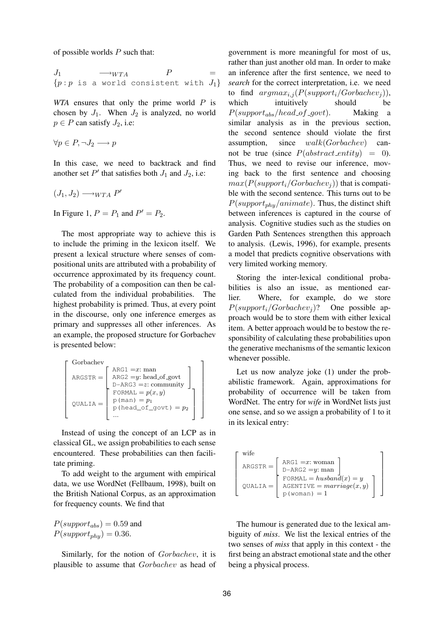of possible worlds  $P$  such that:

$$
J_1 \longrightarrow_{WTA} P =
$$
  
{*p*: *p* is a world consistent with  $J_1$ }

*WTA* ensures that only the prime world P is chosen by  $J_1$ . When  $J_2$  is analyzed, no world  $p \in P$  can satisfy  $J_2$ , i.e:

$$
\forall p \in P, \neg J_2 \longrightarrow p
$$

In this case, we need to backtrack and find another set  $P'$  that satisfies both  $J_1$  and  $J_2$ , i.e:

$$
(J_1, J_2) \longrightarrow_{WTA} P'
$$

In Figure 1,  $P = P_1$  and  $P' = P_2$ .

The most appropriate way to achieve this is to include the priming in the lexicon itself. We present a lexical structure where senses of compositional units are attributed with a probability of occurrence approximated by its frequency count. The probability of a composition can then be calculated from the individual probabilities. The highest probability is primed. Thus, at every point in the discourse, only one inference emerges as primary and suppresses all other inferences. As an example, the proposed structure for Gorbachev is presented below:

$$
\begin{bmatrix}\nGorbachev \\
ARGSTR = \n\begin{bmatrix}\nARG1 = x: man \\
ARG2 = y: head_of.govt \\
D-ARG3 = z: community\n\end{bmatrix} \\
\text{QUALIA} = \n\begin{bmatrix}\nFORMAL = p(x, y) \\
p (man) = p_1 \\
p (head_of.govt) = p_2 \\
... \end{bmatrix}\n\end{bmatrix}
$$

Instead of using the concept of an LCP as in classical GL, we assign probabilities to each sense encountered. These probabilities can then facilitate priming.

To add weight to the argument with empirical data, we use WordNet (Fellbaum, 1998), built on the British National Corpus, as an approximation for frequency counts. We find that

 $P(support_{abs}) = 0.59$  and  $P(support_{phy}) = 0.36.$ 

Similarly, for the notion of Gorbachev, it is plausible to assume that Gorbachev as head of government is more meaningful for most of us, rather than just another old man. In order to make an inference after the first sentence, we need to *search* for the correct interpretation, i.e. we need to find  $argmax_{i,j} (P(support_i/Gorbackev_j)),$ which intuitively should be  $P(support_{abs}/head\_of\_govt)$ . Making a similar analysis as in the previous section, the second sentence should violate the first assumption, since  $walk(Gorback)$  cannot be true (since  $P(abstruct\_entity) = 0$ ). Thus, we need to revise our inference, moving back to the first sentence and choosing  $max(P(support_i/Gorbackev_i))$  that is compatible with the second sentence. This turns out to be  $P(support_{phy}/animate)$ . Thus, the distinct shift between inferences is captured in the course of analysis. Cognitive studies such as the studies on Garden Path Sentences strengthen this approach to analysis. (Lewis, 1996), for example, presents a model that predicts cognitive observations with very limited working memory.

Storing the inter-lexical conditional probabilities is also an issue, as mentioned earlier. Where, for example, do we store  $P(support_i/Gorbackev_i)$ ? One possible approach would be to store them with either lexical item. A better approach would be to bestow the responsibility of calculating these probabilities upon the generative mechanisms of the semantic lexicon whenever possible.

Let us now analyze joke (1) under the probabilistic framework. Again, approximations for probability of occurrence will be taken from WordNet. The entry for *wife* in WordNet lists just one sense, and so we assign a probability of 1 to it in its lexical entry:

$$
\left[\begin{array}{c}\text{wife} \\ \text{ARGSTR} = \left[\begin{array}{c}\text{ARG1} = x \colon \text{woman} \\ \text{D-ARG2} = y \colon \text{man} \\ \text{FORMAL} = husband(x) = y \\ \text{AGENTIVE} = marriage(x, y) \\ \text{p (woman)} = 1\end{array}\right]\end{array}\right]
$$

The humour is generated due to the lexical ambiguity of *miss*. We list the lexical entries of the two senses of *miss* that apply in this context - the first being an abstract emotional state and the other being a physical process.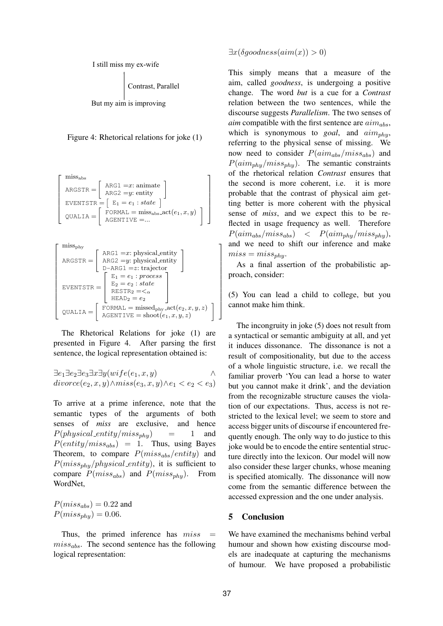

Contrast, Parallel

But my aim is improving



$$
\begin{bmatrix}\n\text{miss}_{\text{abs}} \\
\text{ARGSTR} = \begin{bmatrix}\n\text{ARG1} = x : \text{animate} \\
\text{ARG2} = y : \text{entity}\n\end{bmatrix} \\
\text{EVENTSTR} = \begin{bmatrix}\nE_1 = e_1 : \text{state}\n\end{bmatrix} \\
\text{QUALIA} = \begin{bmatrix}\n\text{FORMAL} = \text{miss}_{\text{abs}}.\text{act}(e_1, x, y) \\
\text{AGENTIVE} = \dots\n\end{bmatrix}\n\end{bmatrix}
$$

$$
\begin{bmatrix} \text{miss}_{\text{phy}} \\ \text{ARGSTR} = \left[ \begin{array}{c} \text{ARG1} = x \text{: physical entity} \\ \text{ARG2} = y \text{: physical entity} \\ \text{D-ARG1} = z \text{ : trajectory} \\ \text{E1} = e_1 \text{ : process} \\ \text{E2} = e_2 \text{ : state} \\ \text{RESTR}_2 = e_2 \\ \text{HEAD}_2 = e_2 \end{array} \right] \\ \text{QUALIA} = \left[ \begin{array}{c} \text{FORMAL} = \text{missed}_{\text{phy-act}}(e_2, x, y, z) \\ \text{AGENTIVE} = \text{shoot}(e_1, x, y, z) \end{array} \right]
$$

The Rhetorical Relations for joke (1) are presented in Figure 4. After parsing the first sentence, the logical representation obtained is:

$$
\exists e_1 \exists e_2 \exists e_3 \exists x \exists y (wife(e_1, x, y) \land \land \exists i \forall y (wife(e_1, x, y) \land e_1 < e_2 < e_3))
$$

To arrive at a prime inference, note that the semantic types of the arguments of both senses of *miss* are exclusive, and hence  $P(\text{physical\_entity/miss}_{\text{phy}})$  = 1 and  $P(entity/miss_{abs}) = 1$ . Thus, using Bayes Theorem, to compare  $P(miss_{abs}/entity)$  and  $P(miss_{phy}/physical\_entity)$ , it is sufficient to compare  $P(miss_{abs})$  and  $P(miss_{phy})$ . From WordNet,

 $P(miss_{abs}) = 0.22$  and  $P(miss_{phy}) = 0.06.$ 

Thus, the primed inference has  $miss =$  $miss_{abs}$ . The second sentence has the following logical representation:

 $\exists x(\delta goodness(aim(x)) > 0)$ 

This simply means that a measure of the aim, called *goodness*, is undergoing a positive change. The word *but* is a cue for a *Contrast* relation between the two sentences, while the discourse suggests *Parallelism*. The two senses of *aim* compatible with the first sentence are  $aim_{abs}$ , which is synonymous to *goal*, and  $\lim_{n \to \infty}$ referring to the physical sense of missing. We now need to consider  $P(aim_{abs}/miss_{abs})$  and  $P(aim<sub>phy</sub>/miss<sub>phy</sub>)$ . The semantic constraints of the rhetorical relation *Contrast* ensures that the second is more coherent, i.e. it is more probable that the contrast of physical aim getting better is more coherent with the physical sense of *miss*, and we expect this to be reflected in usage frequency as well. Therefore  $P(aim_{abs}/miss_{abs}) \leq P(aim_{phy}/miss_{phy}),$ and we need to shift our inference and make  $miss = miss_{nht}$ 

As a final assertion of the probabilistic approach, consider:

(5) You can lead a child to college, but you cannot make him think.

The incongruity in joke (5) does not result from a syntactical or semantic ambiguity at all, and yet it induces dissonance. The dissonance is not a result of compositionality, but due to the access of a whole linguistic structure, i.e. we recall the familiar proverb 'You can lead a horse to water but you cannot make it drink', and the deviation from the recognizable structure causes the violation of our expectations. Thus, access is not restricted to the lexical level; we seem to store and access bigger units of discourse if encountered frequently enough. The only way to do justice to this joke would be to encode the entire sentential structure directly into the lexicon. Our model will now also consider these larger chunks, whose meaning is specified atomically. The dissonance will now come from the semantic difference between the accessed expression and the one under analysis.

## **5 Conclusion**

We have examined the mechanisms behind verbal humour and shown how existing discourse models are inadequate at capturing the mechanisms of humour. We have proposed a probabilistic

1  $\overline{1}$  $\overline{1}$  $\overline{1}$  $\overline{1}$  $\overline{ }$  $\overline{1}$  $\overline{1}$  $\overline{1}$  $\overline{1}$  $\overline{1}$  $\overline{1}$  $\overline{1}$